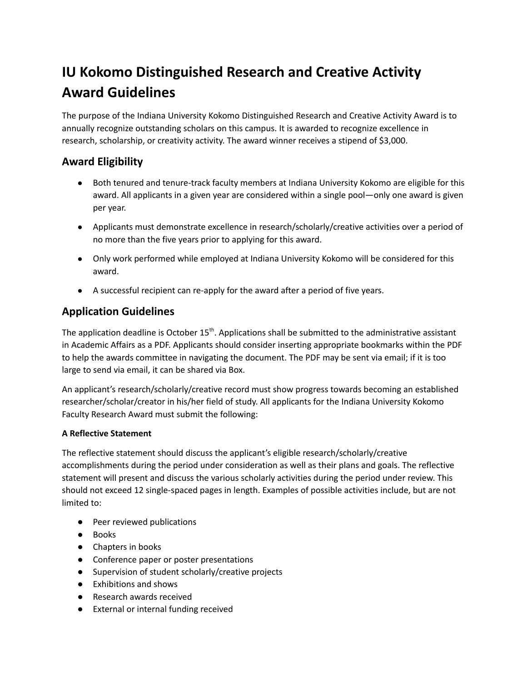# **IU Kokomo Distinguished Research and Creative Activity Award Guidelines**

The purpose of the Indiana University Kokomo Distinguished Research and Creative Activity Award is to annually recognize outstanding scholars on this campus. It is awarded to recognize excellence in research, scholarship, or creativity activity. The award winner receives a stipend of \$3,000.

## **Award Eligibility**

- Both tenured and tenure-track faculty members at Indiana University Kokomo are eligible for this award. All applicants in a given year are considered within a single pool—only one award is given per year.
- Applicants must demonstrate excellence in research/scholarly/creative activities over a period of no more than the five years prior to applying for this award.
- Only work performed while employed at Indiana University Kokomo will be considered for this award.
- A successful recipient can re-apply for the award after a period of five years.

# **Application Guidelines**

The application deadline is October  $15<sup>th</sup>$ . Applications shall be submitted to the administrative assistant in Academic Affairs as a PDF. Applicants should consider inserting appropriate bookmarks within the PDF to help the awards committee in navigating the document. The PDF may be sent via email; if it is too large to send via email, it can be shared via Box.

An applicant's research/scholarly/creative record must show progress towards becoming an established researcher/scholar/creator in his/her field of study. All applicants for the Indiana University Kokomo Faculty Research Award must submit the following:

#### **A Reflective Statement**

The reflective statement should discuss the applicant's eligible research/scholarly/creative accomplishments during the period under consideration as well as their plans and goals. The reflective statement will present and discuss the various scholarly activities during the period under review. This should not exceed 12 single-spaced pages in length. Examples of possible activities include, but are not limited to:

- Peer reviewed publications
- Books
- Chapters in books
- Conference paper or poster presentations
- Supervision of student scholarly/creative projects
- Exhibitions and shows
- Research awards received
- External or internal funding received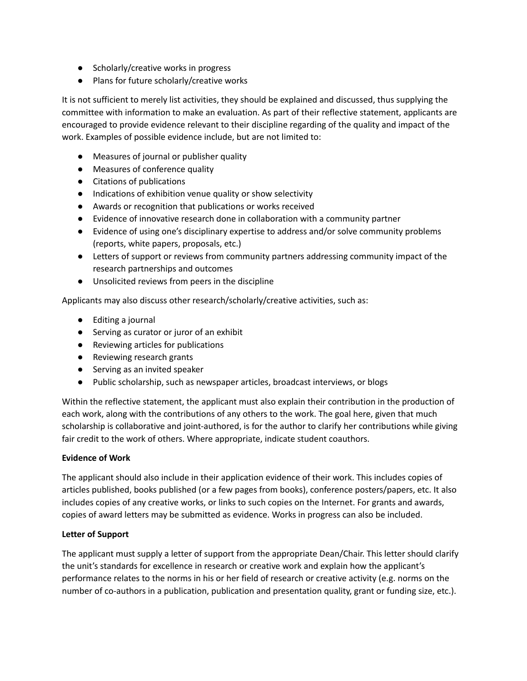- Scholarly/creative works in progress
- Plans for future scholarly/creative works

It is not sufficient to merely list activities, they should be explained and discussed, thus supplying the committee with information to make an evaluation. As part of their reflective statement, applicants are encouraged to provide evidence relevant to their discipline regarding of the quality and impact of the work. Examples of possible evidence include, but are not limited to:

- Measures of journal or publisher quality
- Measures of conference quality
- Citations of publications
- Indications of exhibition venue quality or show selectivity
- Awards or recognition that publications or works received
- Evidence of innovative research done in collaboration with a community partner
- Evidence of using one's disciplinary expertise to address and/or solve community problems (reports, white papers, proposals, etc.)
- Letters of support or reviews from community partners addressing community impact of the research partnerships and outcomes
- Unsolicited reviews from peers in the discipline

Applicants may also discuss other research/scholarly/creative activities, such as:

- Editing a journal
- Serving as curator or juror of an exhibit
- Reviewing articles for publications
- Reviewing research grants
- Serving as an invited speaker
- Public scholarship, such as newspaper articles, broadcast interviews, or blogs

Within the reflective statement, the applicant must also explain their contribution in the production of each work, along with the contributions of any others to the work. The goal here, given that much scholarship is collaborative and joint-authored, is for the author to clarify her contributions while giving fair credit to the work of others. Where appropriate, indicate student coauthors.

#### **Evidence of Work**

The applicant should also include in their application evidence of their work. This includes copies of articles published, books published (or a few pages from books), conference posters/papers, etc. It also includes copies of any creative works, or links to such copies on the Internet. For grants and awards, copies of award letters may be submitted as evidence. Works in progress can also be included.

#### **Letter of Support**

The applicant must supply a letter of support from the appropriate Dean/Chair. This letter should clarify the unit's standards for excellence in research or creative work and explain how the applicant's performance relates to the norms in his or her field of research or creative activity (e.g. norms on the number of co-authors in a publication, publication and presentation quality, grant or funding size, etc.).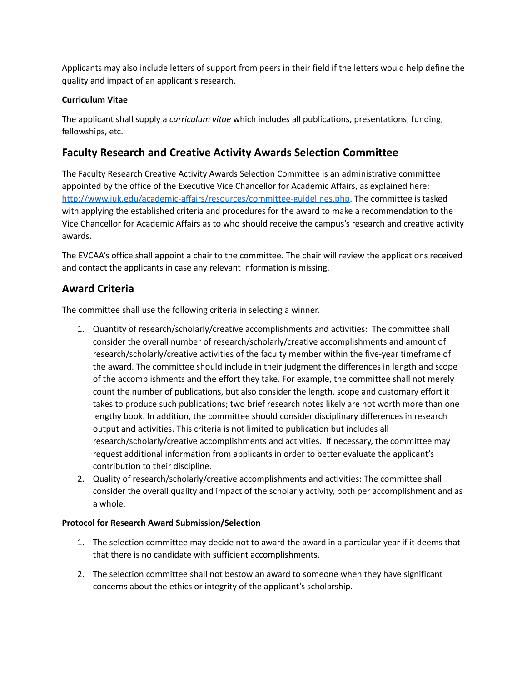Applicants may also include letters of support from peers in their field if the letters would help define the quality and impact of an applicant's research.

#### **Curriculum Vitae**

The applicant shall supply a *curriculum vitae* which includes all publications, presentations, funding, fellowships, etc.

## **Faculty Research and Creative Activity Awards Selection Committee**

The Faculty Research Creative Activity Awards Selection Committee is an administrative committee appointed by the office of the Executive Vice Chancellor for Academic Affairs, as explained here: [http://www.iuk.edu/academic-affairs/resources/committee-guidelines.php.](http://www.iuk.edu/academic-affairs/resources/committee-guidelines.php) The committee is tasked with applying the established criteria and procedures for the award to make a recommendation to the Vice Chancellor for Academic Affairs as to who should receive the campus's research and creative activity awards.

The EVCAA's office shall appoint a chair to the committee. The chair will review the applications received and contact the applicants in case any relevant information is missing.

### **Award Criteria**

The committee shall use the following criteria in selecting a winner.

- 1. Quantity of research/scholarly/creative accomplishments and activities: The committee shall consider the overall number of research/scholarly/creative accomplishments and amount of research/scholarly/creative activities of the faculty member within the five-year timeframe of the award. The committee should include in their judgment the differences in length and scope of the accomplishments and the effort they take. For example, the committee shall not merely count the number of publications, but also consider the length, scope and customary effort it takes to produce such publications; two brief research notes likely are not worth more than one lengthy book. In addition, the committee should consider disciplinary differences in research output and activities. This criteria is not limited to publication but includes all research/scholarly/creative accomplishments and activities. If necessary, the committee may request additional information from applicants in order to better evaluate the applicant's contribution to their discipline.
- 2. Quality of research/scholarly/creative accomplishments and activities: The committee shall consider the overall quality and impact of the scholarly activity, both per accomplishment and as a whole.

#### **Protocol for Research Award Submission/Selection**

- 1. The selection committee may decide not to award the award in a particular year if it deems that that there is no candidate with sufficient accomplishments.
- 2. The selection committee shall not bestow an award to someone when they have significant concerns about the ethics or integrity of the applicant's scholarship.